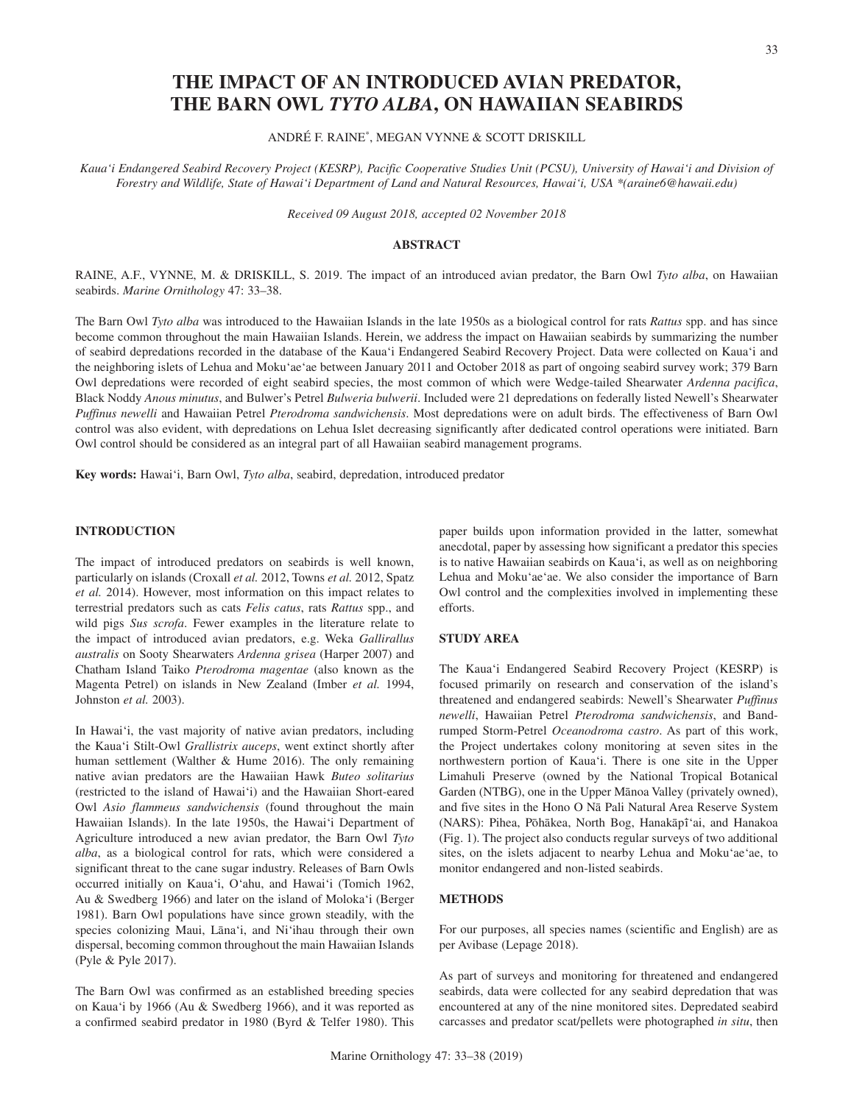# **THE IMPACT OF AN INTRODUCED AVIAN PREDATOR, THE BARN OWL** *TYTO ALBA***, ON HAWAIIAN SEABIRDS**

ANDRÉ F. RAINE\*, MEGAN VYNNE & SCOTT DRISKILL

Kaua'i Endangered Seabird Recovery Project (KESRP), Pacific Cooperative Studies Unit (PCSU), University of Hawai'i and Division of *Forestry and Wildlife, State of Hawai'i Department of Land and Natural Resources, Hawai'i, USA \*(araine6@hawaii.edu)*

*Received 09 August 2018, accepted 02 November 2018*

## **ABSTRACT**

RAINE, A.F., VYNNE, M. & DRISKILL, S. 2019. The impact of an introduced avian predator, the Barn Owl *Tyto alba*, on Hawaiian seabirds. *Marine Ornithology* 47: 33–38.

The Barn Owl *Tyto alba* was introduced to the Hawaiian Islands in the late 1950s as a biological control for rats *Rattus* spp. and has since become common throughout the main Hawaiian Islands. Herein, we address the impact on Hawaiian seabirds by summarizing the number of seabird depredations recorded in the database of the Kaua'i Endangered Seabird Recovery Project. Data were collected on Kaua'i and the neighboring islets of Lehua and Moku'ae'ae between January 2011 and October 2018 as part of ongoing seabird survey work; 379 Barn Owl depredations were recorded of eight seabird species, the most common of which were Wedge-tailed Shearwater *Ardenna pacifica*, Black Noddy *Anous minutus*, and Bulwer's Petrel *Bulweria bulwerii*. Included were 21 depredations on federally listed Newell's Shearwater *Puffinus newelli* and Hawaiian Petrel *Pterodroma sandwichensis*. Most depredations were on adult birds. The effectiveness of Barn Owl control was also evident, with depredations on Lehua Islet decreasing significantly after dedicated control operations were initiated. Barn Owl control should be considered as an integral part of all Hawaiian seabird management programs.

**Key words:** Hawai'i, Barn Owl, *Tyto alba*, seabird, depredation, introduced predator

## **INTRODUCTION**

The impact of introduced predators on seabirds is well known, particularly on islands (Croxall *et al.* 2012, Towns *et al.* 2012, Spatz *et al.* 2014). However, most information on this impact relates to terrestrial predators such as cats *Felis catus*, rats *Rattus* spp., and wild pigs *Sus scrofa*. Fewer examples in the literature relate to the impact of introduced avian predators, e.g. Weka *Gallirallus australis* on Sooty Shearwaters *Ardenna grisea* (Harper 2007) and Chatham Island Taiko *Pterodroma magentae* (also known as the Magenta Petrel) on islands in New Zealand (Imber *et al.* 1994, Johnston *et al.* 2003).

In Hawai'i, the vast majority of native avian predators, including the Kaua'i Stilt-Owl *Grallistrix auceps*, went extinct shortly after human settlement (Walther & Hume 2016). The only remaining native avian predators are the Hawaiian Hawk *Buteo solitarius*  (restricted to the island of Hawai'i) and the Hawaiian Short-eared Owl *Asio flammeus sandwichensis* (found throughout the main Hawaiian Islands). In the late 1950s, the Hawai'i Department of Agriculture introduced a new avian predator, the Barn Owl *Tyto alba*, as a biological control for rats, which were considered a significant threat to the cane sugar industry. Releases of Barn Owls occurred initially on Kaua'i, O'ahu, and Hawai'i (Tomich 1962, Au & Swedberg 1966) and later on the island of Moloka'i (Berger 1981). Barn Owl populations have since grown steadily, with the species colonizing Maui, Lāna'i, and Ni'ihau through their own dispersal, becoming common throughout the main Hawaiian Islands (Pyle & Pyle 2017).

The Barn Owl was confirmed as an established breeding species on Kaua'i by 1966 (Au & Swedberg 1966), and it was reported as a confirmed seabird predator in 1980 (Byrd & Telfer 1980). This paper builds upon information provided in the latter, somewhat anecdotal, paper by assessing how significant a predator this species is to native Hawaiian seabirds on Kaua'i, as well as on neighboring Lehua and Moku'ae'ae. We also consider the importance of Barn Owl control and the complexities involved in implementing these efforts.

## **STUDY AREA**

The Kaua'i Endangered Seabird Recovery Project (KESRP) is focused primarily on research and conservation of the island's threatened and endangered seabirds: Newell's Shearwater *Puffinus newelli*, Hawaiian Petrel *Pterodroma sandwichensis*, and Bandrumped Storm-Petrel *Oceanodroma castro*. As part of this work, the Project undertakes colony monitoring at seven sites in the northwestern portion of Kaua'i. There is one site in the Upper Limahuli Preserve (owned by the National Tropical Botanical Garden (NTBG), one in the Upper Mānoa Valley (privately owned), and five sites in the Hono O Na Pali Natural Area Reserve System (NARS): Pihea, Pōhākea, North Bog, Hanakāpī'ai, and Hanakoa (Fig. 1). The project also conducts regular surveys of two additional sites, on the islets adjacent to nearby Lehua and Moku'ae'ae, to monitor endangered and non-listed seabirds.

#### **METHODS**

For our purposes, all species names (scientific and English) are as per Avibase (Lepage 2018).

As part of surveys and monitoring for threatened and endangered seabirds, data were collected for any seabird depredation that was encountered at any of the nine monitored sites. Depredated seabird carcasses and predator scat/pellets were photographed *in situ*, then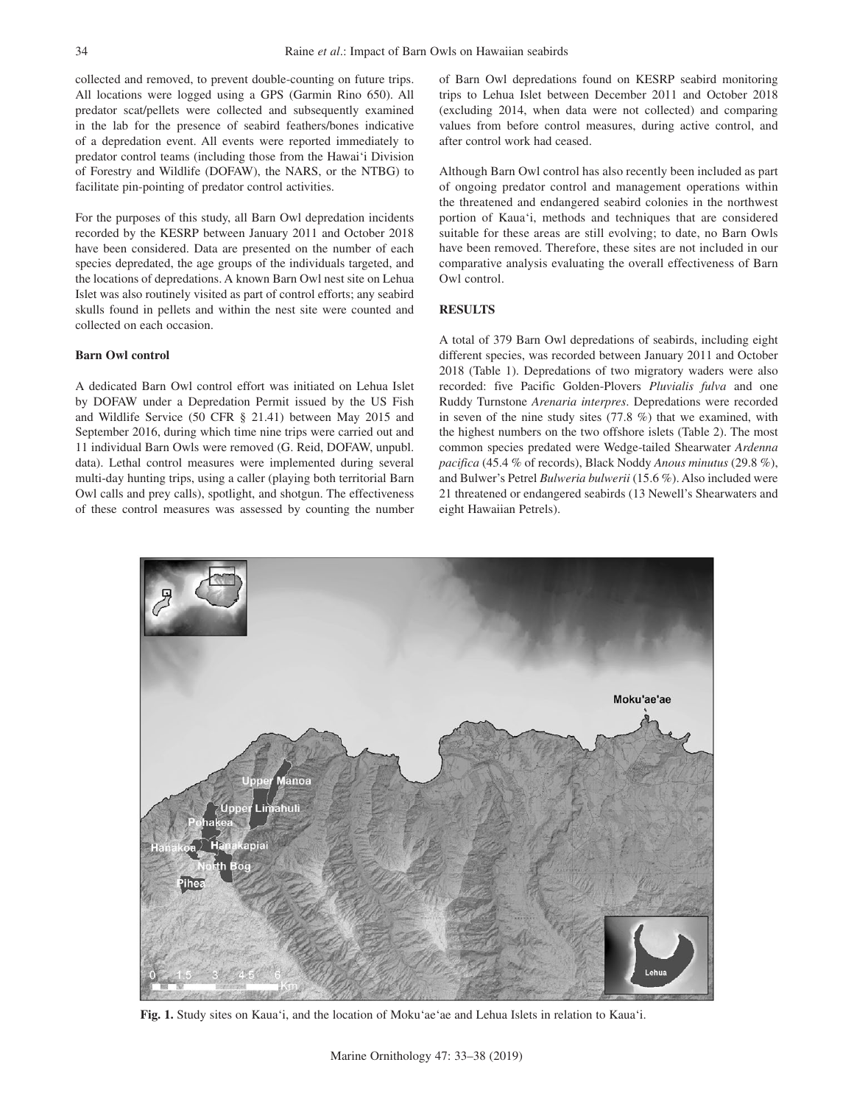collected and removed, to prevent double-counting on future trips. All locations were logged using a GPS (Garmin Rino 650). All predator scat/pellets were collected and subsequently examined in the lab for the presence of seabird feathers/bones indicative of a depredation event. All events were reported immediately to predator control teams (including those from the Hawai'i Division of Forestry and Wildlife (DOFAW), the NARS, or the NTBG) to facilitate pin-pointing of predator control activities.

For the purposes of this study, all Barn Owl depredation incidents recorded by the KESRP between January 2011 and October 2018 have been considered. Data are presented on the number of each species depredated, the age groups of the individuals targeted, and the locations of depredations. A known Barn Owl nest site on Lehua Islet was also routinely visited as part of control efforts; any seabird skulls found in pellets and within the nest site were counted and collected on each occasion.

#### **Barn Owl control**

A dedicated Barn Owl control effort was initiated on Lehua Islet by DOFAW under a Depredation Permit issued by the US Fish and Wildlife Service (50 CFR § 21.41) between May 2015 and September 2016, during which time nine trips were carried out and 11 individual Barn Owls were removed (G. Reid, DOFAW, unpubl. data). Lethal control measures were implemented during several multi-day hunting trips, using a caller (playing both territorial Barn Owl calls and prey calls), spotlight, and shotgun. The effectiveness of these control measures was assessed by counting the number of Barn Owl depredations found on KESRP seabird monitoring trips to Lehua Islet between December 2011 and October 2018 (excluding 2014, when data were not collected) and comparing values from before control measures, during active control, and after control work had ceased.

Although Barn Owl control has also recently been included as part of ongoing predator control and management operations within the threatened and endangered seabird colonies in the northwest portion of Kaua'i, methods and techniques that are considered suitable for these areas are still evolving; to date, no Barn Owls have been removed. Therefore, these sites are not included in our comparative analysis evaluating the overall effectiveness of Barn Owl control.

# **RESULTS**

A total of 379 Barn Owl depredations of seabirds, including eight different species, was recorded between January 2011 and October 2018 (Table 1). Depredations of two migratory waders were also recorded: five Pacific Golden-Plovers *Pluvialis fulva* and one Ruddy Turnstone *Arenaria interpres*. Depredations were recorded in seven of the nine study sites (77.8 %) that we examined, with the highest numbers on the two offshore islets (Table 2). The most common species predated were Wedge-tailed Shearwater *Ardenna pacifica* (45.4 % of records), Black Noddy *Anous minutus* (29.8 %), and Bulwer's Petrel *Bulweria bulwerii* (15.6 %). Also included were 21 threatened or endangered seabirds (13 Newell's Shearwaters and eight Hawaiian Petrels).



**Fig. 1.** Study sites on Kaua'i, and the location of Moku'ae'ae and Lehua Islets in relation to Kaua'i.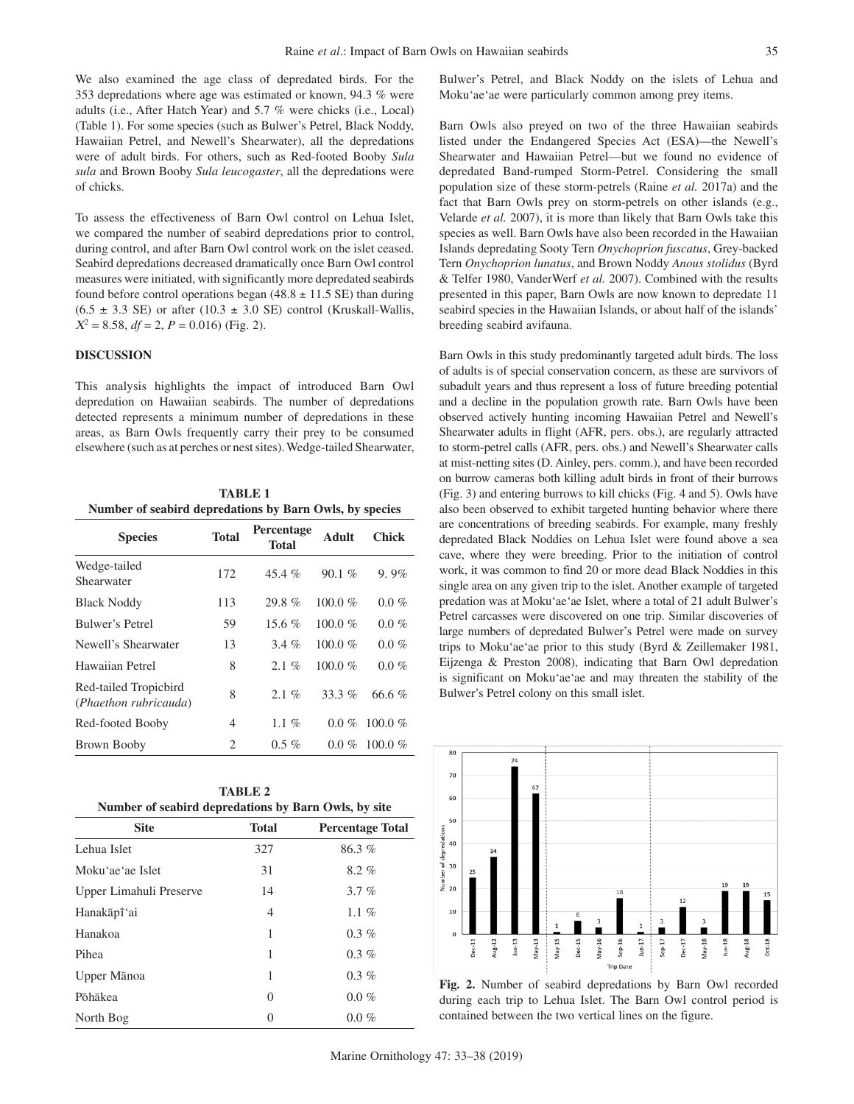We also examined the age class of depredated birds. For the 353 depredations where age was estimated or known, 94.3 % were adults (i.e., After Hatch Year) and 5.7 % were chicks (i.e., Local) (Table 1). For some species (such as Bulwer's Petrel, Black Noddy, Hawaiian Petrel, and Newell's Shearwater), all the depredations were of adult birds. For others, such as Red-footed Booby *Sula sula* and Brown Booby *Sula leucogaster*, all the depredations were of chicks.

To assess the effectiveness of Barn Owl control on Lehua Islet, we compared the number of seabird depredations prior to control, during control, and after Barn Owl control work on the islet ceased. Seabird depredations decreased dramatically once Barn Owl control measures were initiated, with significantly more depredated seabirds found before control operations began  $(48.8 \pm 11.5 \text{ SE})$  than during  $(6.5 \pm 3.3 \text{ SE})$  or after  $(10.3 \pm 3.0 \text{ SE})$  control (Kruskall-Wallis,  $X^2 = 8.58$ ,  $df = 2$ ,  $P = 0.016$ ) (Fig. 2).

#### **DISCUSSION**

This analysis highlights the impact of introduced Barn Owl depredation on Hawaiian seabirds. The number of depredations detected represents a minimum number of depredations in these areas, as Barn Owls frequently carry their prey to be consumed elsewhere (such as at perches or nest sites). Wedge-tailed Shearwater,

**TABLE 1 Number of seabird depredations by Barn Owls, by species**

| <b>Species</b>                                 | <b>Total</b> | <b>Percentage</b><br>Total | Adult      | Chick     |
|------------------------------------------------|--------------|----------------------------|------------|-----------|
| Wedge-tailed<br>Shearwater                     | 172          | 45.4 $%$                   | 90.1%      | $9.9\%$   |
| <b>Black Noddy</b>                             | 113          | 29.8%                      | 100.0 $%$  | $0.0\%$   |
| Bulwer's Petrel                                | 59           | 15.6 $%$                   | $100.0 \%$ | $0.0\%$   |
| Newell's Shearwater                            | 13           | $3.4\%$                    | 100.0 $%$  | $0.0\%$   |
| Hawaiian Petrel                                | 8            | $2.1\%$                    | 100.0 $%$  | $0.0\%$   |
| Red-tailed Tropicbird<br>(Phaethon rubricauda) | 8            | $2.1\%$                    | 33.3 $\%$  | 66.6 $%$  |
| Red-footed Booby                               | 4            | $1.1\%$                    | $0.0\%$    | 100.0 $%$ |
| Brown Booby                                    | 2            | $0.5\%$                    | $0.0\%$    | 100.0 $%$ |

| <b>TABLE 2</b> |  |                                                      |  |  |  |  |
|----------------|--|------------------------------------------------------|--|--|--|--|
|                |  | Number of seabird depredations by Barn Owls, by site |  |  |  |  |

| <b>Site</b>             | <b>Total</b> | <b>Percentage Total</b> |
|-------------------------|--------------|-------------------------|
| Lehua Islet             | 327          | 86.3%                   |
| Moku'ae'ae Islet        | 31           | $8.2 \%$                |
| Upper Limahuli Preserve | 14           | 3.7%                    |
| Hanakāpī'ai             | 4            | $1.1\%$                 |
| Hanakoa                 | 1            | $0.3\%$                 |
| Pihea                   | 1            | $0.3\%$                 |
| Upper Mānoa             | 1            | $0.3\%$                 |
| Põhākea                 | $\Omega$     | $0.0\%$                 |
| North Bog               | 0            | $0.0 \%$                |

Bulwer's Petrel, and Black Noddy on the islets of Lehua and Moku'ae'ae were particularly common among prey items.

Barn Owls also preyed on two of the three Hawaiian seabirds listed under the Endangered Species Act (ESA)—the Newell's Shearwater and Hawaiian Petrel—but we found no evidence of depredated Band-rumped Storm-Petrel. Considering the small population size of these storm-petrels (Raine *et al.* 2017a) and the fact that Barn Owls prey on storm-petrels on other islands (e.g., Velarde *et al.* 2007), it is more than likely that Barn Owls take this species as well. Barn Owls have also been recorded in the Hawaiian Islands depredating Sooty Tern *Onychoprion fuscatus*, Grey-backed Tern *Onychoprion lunatus*, and Brown Noddy *Anous stolidus* (Byrd & Telfer 1980, VanderWerf *et al.* 2007). Combined with the results presented in this paper, Barn Owls are now known to depredate 11 seabird species in the Hawaiian Islands, or about half of the islands' breeding seabird avifauna.

Barn Owls in this study predominantly targeted adult birds. The loss of adults is of special conservation concern, as these are survivors of subadult years and thus represent a loss of future breeding potential and a decline in the population growth rate. Barn Owls have been observed actively hunting incoming Hawaiian Petrel and Newell's Shearwater adults in flight (AFR, pers. obs.), are regularly attracted to storm-petrel calls (AFR, pers. obs.) and Newell's Shearwater calls at mist-netting sites (D. Ainley, pers. comm.), and have been recorded on burrow cameras both killing adult birds in front of their burrows (Fig. 3) and entering burrows to kill chicks (Fig. 4 and 5). Owls have also been observed to exhibit targeted hunting behavior where there are concentrations of breeding seabirds. For example, many freshly depredated Black Noddies on Lehua Islet were found above a sea cave, where they were breeding. Prior to the initiation of control work, it was common to find 20 or more dead Black Noddies in this single area on any given trip to the islet. Another example of targeted predation was at Moku'ae'ae Islet, where a total of 21 adult Bulwer's Petrel carcasses were discovered on one trip. Similar discoveries of large numbers of depredated Bulwer's Petrel were made on survey trips to Moku'ae'ae prior to this study (Byrd & Zeillemaker 1981, Eijzenga & Preston 2008), indicating that Barn Owl depredation is significant on Moku'ae'ae and may threaten the stability of the Bulwer's Petrel colony on this small islet.



**Fig. 2.** Number of seabird depredations by Barn Owl recorded during each trip to Lehua Islet. The Barn Owl control period is contained between the two vertical lines on the figure.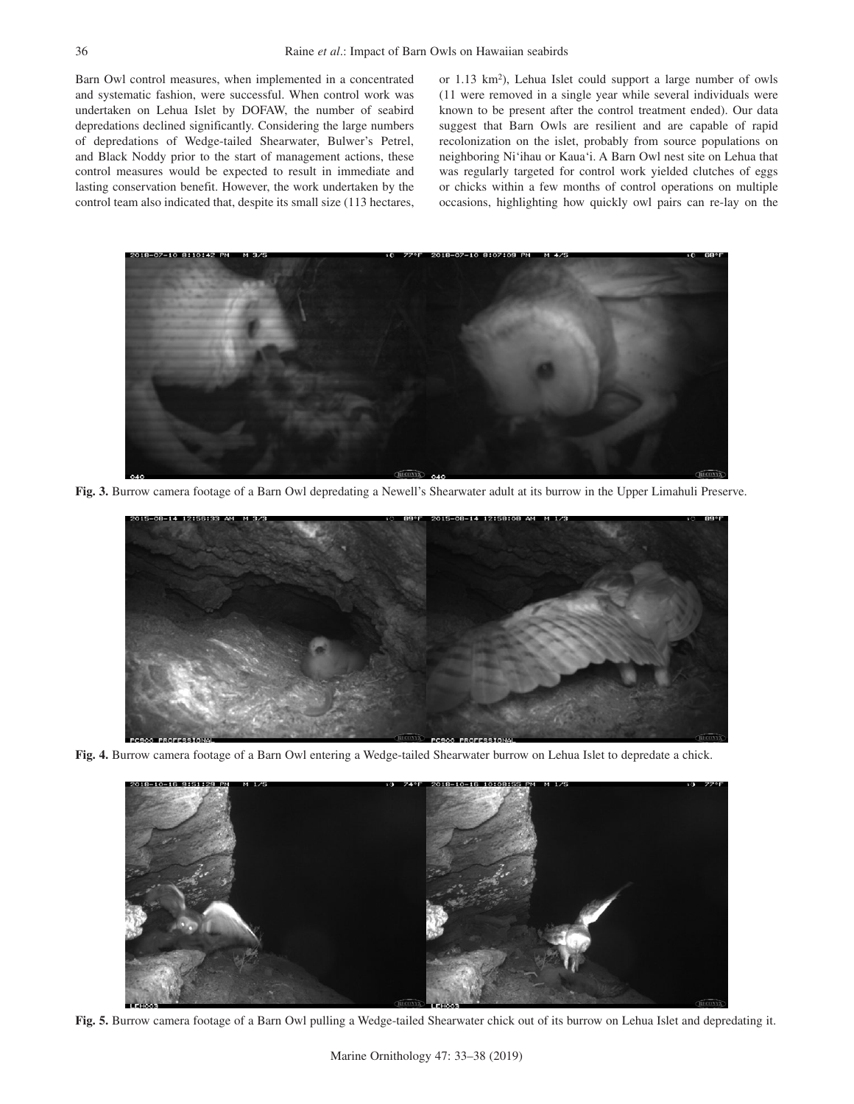Barn Owl control measures, when implemented in a concentrated and systematic fashion, were successful. When control work was undertaken on Lehua Islet by DOFAW, the number of seabird depredations declined significantly. Considering the large numbers of depredations of Wedge-tailed Shearwater, Bulwer's Petrel, and Black Noddy prior to the start of management actions, these control measures would be expected to result in immediate and lasting conservation benefit. However, the work undertaken by the control team also indicated that, despite its small size (113 hectares,

or 1.13 km<sup>2</sup>), Lehua Islet could support a large number of owls (11 were removed in a single year while several individuals were known to be present after the control treatment ended). Our data suggest that Barn Owls are resilient and are capable of rapid recolonization on the islet, probably from source populations on neighboring Ni'ihau or Kaua'i. A Barn Owl nest site on Lehua that was regularly targeted for control work yielded clutches of eggs or chicks within a few months of control operations on multiple occasions, highlighting how quickly owl pairs can re-lay on the



**Fig. 3.** Burrow camera footage of a Barn Owl depredating a Newell's Shearwater adult at its burrow in the Upper Limahuli Preserve.



**Fig. 4.** Burrow camera footage of a Barn Owl entering a Wedge-tailed Shearwater burrow on Lehua Islet to depredate a chick.



**Fig. 5.** Burrow camera footage of a Barn Owl pulling a Wedge-tailed Shearwater chick out of its burrow on Lehua Islet and depredating it.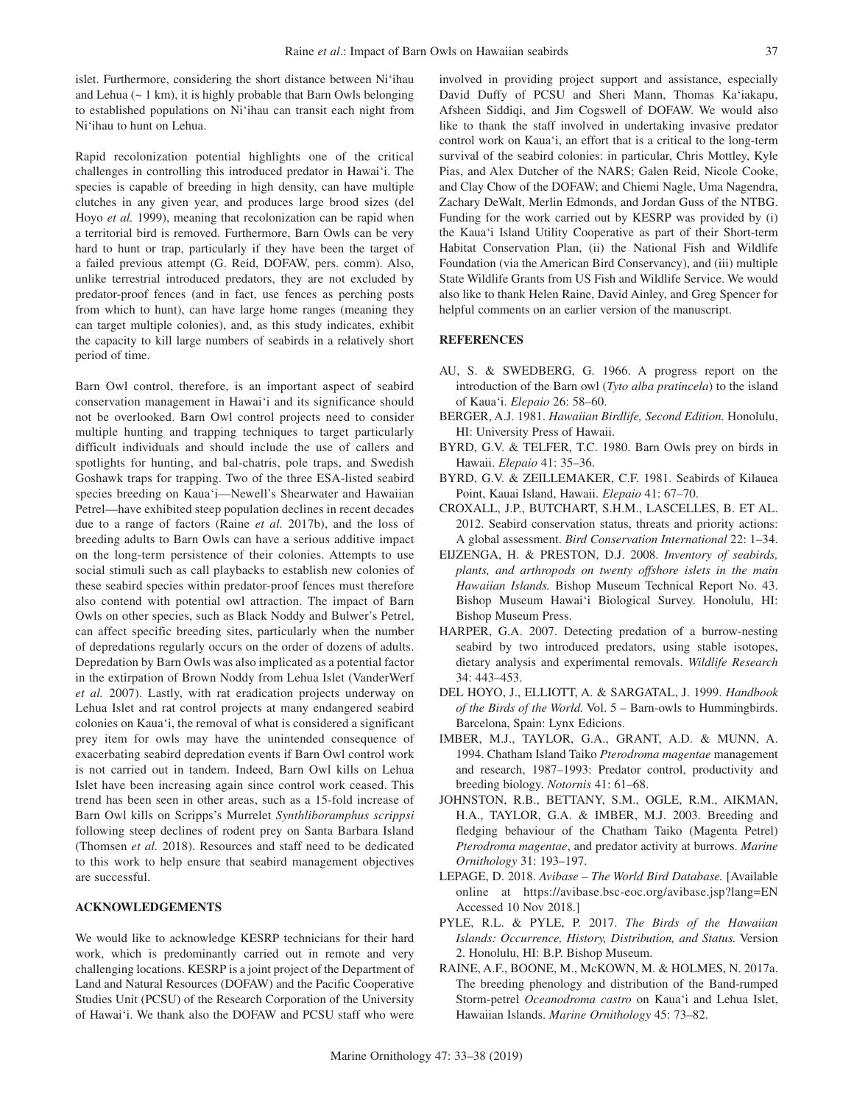islet. Furthermore, considering the short distance between Ni'ihau and Lehua  $(\sim 1 \text{ km})$ , it is highly probable that Barn Owls belonging to established populations on Ni'ihau can transit each night from Ni'ihau to hunt on Lehua.

Rapid recolonization potential highlights one of the critical challenges in controlling this introduced predator in Hawai'i. The species is capable of breeding in high density, can have multiple clutches in any given year, and produces large brood sizes (del Hoyo *et al.* 1999), meaning that recolonization can be rapid when a territorial bird is removed. Furthermore, Barn Owls can be very hard to hunt or trap, particularly if they have been the target of a failed previous attempt (G. Reid, DOFAW, pers. comm). Also, unlike terrestrial introduced predators, they are not excluded by predator-proof fences (and in fact, use fences as perching posts from which to hunt), can have large home ranges (meaning they can target multiple colonies), and, as this study indicates, exhibit the capacity to kill large numbers of seabirds in a relatively short period of time.

Barn Owl control, therefore, is an important aspect of seabird conservation management in Hawai'i and its significance should not be overlooked. Barn Owl control projects need to consider multiple hunting and trapping techniques to target particularly difficult individuals and should include the use of callers and spotlights for hunting, and bal-chatris, pole traps, and Swedish Goshawk traps for trapping. Two of the three ESA-listed seabird species breeding on Kaua'i—Newell's Shearwater and Hawaiian Petrel—have exhibited steep population declines in recent decades due to a range of factors (Raine *et al.* 2017b), and the loss of breeding adults to Barn Owls can have a serious additive impact on the long-term persistence of their colonies. Attempts to use social stimuli such as call playbacks to establish new colonies of these seabird species within predator-proof fences must therefore also contend with potential owl attraction. The impact of Barn Owls on other species, such as Black Noddy and Bulwer's Petrel, can affect specific breeding sites, particularly when the number of depredations regularly occurs on the order of dozens of adults. Depredation by Barn Owls was also implicated as a potential factor in the extirpation of Brown Noddy from Lehua Islet (VanderWerf *et al.* 2007). Lastly, with rat eradication projects underway on Lehua Islet and rat control projects at many endangered seabird colonies on Kaua'i, the removal of what is considered a significant prey item for owls may have the unintended consequence of exacerbating seabird depredation events if Barn Owl control work is not carried out in tandem. Indeed, Barn Owl kills on Lehua Islet have been increasing again since control work ceased. This trend has been seen in other areas, such as a 15-fold increase of Barn Owl kills on Scripps's Murrelet *Synthliboramphus scrippsi*  following steep declines of rodent prey on Santa Barbara Island (Thomsen *et al.* 2018). Resources and staff need to be dedicated to this work to help ensure that seabird management objectives are successful.

# **ACKNOWLEDGEMENTS**

We would like to acknowledge KESRP technicians for their hard work, which is predominantly carried out in remote and very challenging locations. KESRP is a joint project of the Department of Land and Natural Resources (DOFAW) and the Pacific Cooperative Studies Unit (PCSU) of the Research Corporation of the University of Hawai'i. We thank also the DOFAW and PCSU staff who were

involved in providing project support and assistance, especially David Duffy of PCSU and Sheri Mann, Thomas Ka'iakapu, Afsheen Siddiqi, and Jim Cogswell of DOFAW. We would also like to thank the staff involved in undertaking invasive predator control work on Kaua'i, an effort that is a critical to the long-term survival of the seabird colonies: in particular, Chris Mottley, Kyle Pias, and Alex Dutcher of the NARS; Galen Reid, Nicole Cooke, and Clay Chow of the DOFAW; and Chiemi Nagle, Uma Nagendra, Zachary DeWalt, Merlin Edmonds, and Jordan Guss of the NTBG. Funding for the work carried out by KESRP was provided by (i) the Kaua'i Island Utility Cooperative as part of their Short-term Habitat Conservation Plan, (ii) the National Fish and Wildlife Foundation (via the American Bird Conservancy), and (iii) multiple State Wildlife Grants from US Fish and Wildlife Service. We would also like to thank Helen Raine, David Ainley, and Greg Spencer for helpful comments on an earlier version of the manuscript.

## **REFERENCES**

- AU, S. & SWEDBERG, G. 1966. A progress report on the introduction of the Barn owl (*Tyto alba pratincela*) to the island of Kaua'i. *Elepaio* 26: 58–60.
- BERGER, A.J. 1981. *Hawaiian Birdlife, Second Edition.* Honolulu, HI: University Press of Hawaii.
- BYRD, G.V. & TELFER, T.C. 1980. Barn Owls prey on birds in Hawaii. *Elepaio* 41: 35–36.
- BYRD, G.V. & ZEILLEMAKER, C.F. 1981. Seabirds of Kilauea Point, Kauai Island, Hawaii. *Elepaio* 41: 67–70.
- CROXALL, J.P., BUTCHART, S.H.M., LASCELLES, B. ET AL. 2012. Seabird conservation status, threats and priority actions: A global assessment. *Bird Conservation International* 22: 1–34.
- EIJZENGA, H. & PRESTON, D.J. 2008. *Inventory of seabirds, plants, and arthropods on twenty offshore islets in the main Hawaiian Islands.* Bishop Museum Technical Report No. 43. Bishop Museum Hawai'i Biological Survey. Honolulu, HI: Bishop Museum Press.
- HARPER, G.A. 2007. Detecting predation of a burrow-nesting seabird by two introduced predators, using stable isotopes, dietary analysis and experimental removals. *Wildlife Research* 34: 443–453.
- DEL HOYO, J., ELLIOTT, A. & SARGATAL, J. 1999. *Handbook of the Birds of the World.* Vol. 5 – Barn-owls to Hummingbirds. Barcelona, Spain: Lynx Edicions.
- IMBER, M.J., TAYLOR, G.A., GRANT, A.D. & MUNN, A. 1994. Chatham Island Taiko *Pterodroma magentae* management and research, 1987–1993: Predator control, productivity and breeding biology. *Notornis* 41: 61–68.
- JOHNSTON, R.B., BETTANY, S.M., OGLE, R.M., AIKMAN, H.A., TAYLOR, G.A. & IMBER, M.J. 2003. Breeding and fledging behaviour of the Chatham Taiko (Magenta Petrel) *Pterodroma magentae*, and predator activity at burrows. *Marine Ornithology* 31: 193–197.
- LEPAGE, D. 2018. *Avibase The World Bird Database.* [Available online at https://avibase.bsc-eoc.org/avibase.jsp?lang=EN Accessed 10 Nov 2018.]
- PYLE, R.L. & PYLE, P. 2017. *The Birds of the Hawaiian Islands: Occurrence, History, Distribution, and Status.* Version 2. Honolulu, HI: B.P. Bishop Museum.
- RAINE, A.F., BOONE, M., McKOWN, M. & HOLMES, N. 2017a. The breeding phenology and distribution of the Band-rumped Storm-petrel *Oceanodroma castro* on Kaua'i and Lehua Islet, Hawaiian Islands. *Marine Ornithology* 45: 73–82.